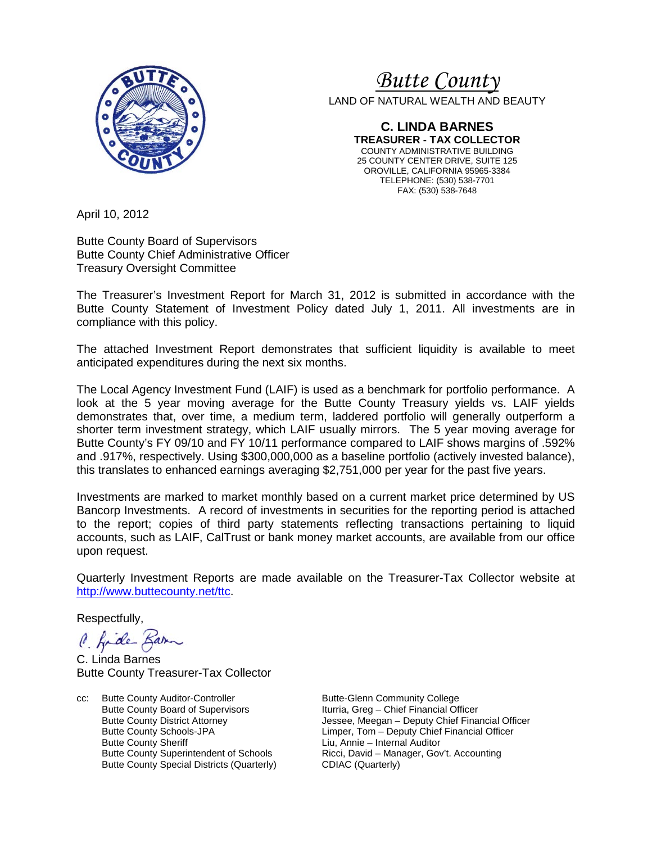

### *Butte County*

LAND OF NATURAL WEALTH AND BEAUTY

**C. LINDA BARNES TREASURER - TAX COLLECTOR** COUNTY ADMINISTRATIVE BUILDING 25 COUNTY CENTER DRIVE, SUITE 125 OROVILLE, CALIFORNIA 95965-3384 TELEPHONE: (530) 538-7701 FAX: (530) 538-7648

April 10, 2012

Butte County Board of Supervisors Butte County Chief Administrative Officer Treasury Oversight Committee

The Treasurer's Investment Report for March 31, 2012 is submitted in accordance with the Butte County Statement of Investment Policy dated July 1, 2011. All investments are in compliance with this policy.

The attached Investment Report demonstrates that sufficient liquidity is available to meet anticipated expenditures during the next six months.

The Local Agency Investment Fund (LAIF) is used as a benchmark for portfolio performance. A look at the 5 year moving average for the Butte County Treasury yields vs. LAIF yields demonstrates that, over time, a medium term, laddered portfolio will generally outperform a shorter term investment strategy, which LAIF usually mirrors. The 5 year moving average for Butte County's FY 09/10 and FY 10/11 performance compared to LAIF shows margins of .592% and .917%, respectively. Using \$300,000,000 as a baseline portfolio (actively invested balance), this translates to enhanced earnings averaging \$2,751,000 per year for the past five years.

Investments are marked to market monthly based on a current market price determined by US Bancorp Investments. A record of investments in securities for the reporting period is attached to the report; copies of third party statements reflecting transactions pertaining to liquid accounts, such as LAIF, CalTrust or bank money market accounts, are available from our office upon request.

Quarterly Investment Reports are made available on the Treasurer-Tax Collector website at [http://www.buttecounty.net/ttc.](http://www.buttecounty.net/ttc)

Respectfully,

C. fide Barn

C. Linda Barnes Butte County Treasurer-Tax Collector

cc: Butte County Auditor-Controller Butte-Glenn Community College<br>Butte County Board of Supervisors butteria, Greg - Chief Financial Of Butte County Board of Supervisors **Iturria, Greg – Chief Financial Officer**<br>Butte County District Attorney **In the State of Supervisor Service 1** Jessee, Meegan – Deputy Chief Fina Butte County Sheriff **Liu, Annie – Internal Auditor**<br>Butte County Superintendent of Schools **County Auditor** Ricci, David – Manager, Gov Butte County Special Districts (Quarterly)

Butte County District Attorney **Jessee, Meegan – Deputy Chief Financial Officer**<br>Butte County Schools-JPA **County Schools-JPA** Limper, Tom – Deputy Chief Financial Officer Butte County Schools-JPA Limper, Tom – Deputy Chief Financial Officer Ricci, David – Manager, Gov't. Accounting<br>CDIAC (Quarterly)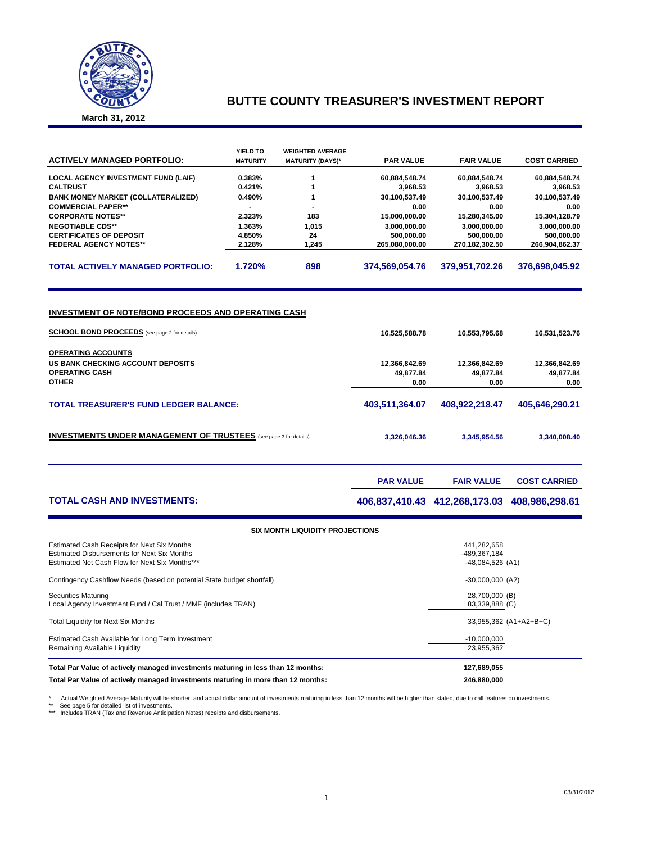

### **BUTTE COUNTY TREASURER'S INVESTMENT REPORT**

**March 31, 2012**

| <b>ACTIVELY MANAGED PORTFOLIO:</b>                                                                                                                                                                                     | YIELD TO<br><b>MATURITY</b> | <b>WEIGHTED AVERAGE</b><br><b>MATURITY (DAYS)*</b> | <b>PAR VALUE</b>                                    | <b>FAIR VALUE</b>                                   | <b>COST CARRIED</b>                                 |
|------------------------------------------------------------------------------------------------------------------------------------------------------------------------------------------------------------------------|-----------------------------|----------------------------------------------------|-----------------------------------------------------|-----------------------------------------------------|-----------------------------------------------------|
| <b>LOCAL AGENCY INVESTMENT FUND (LAIF)</b>                                                                                                                                                                             | 0.383%                      | 1                                                  | 60,884,548.74                                       | 60,884,548.74                                       | 60,884,548.74                                       |
| <b>CALTRUST</b>                                                                                                                                                                                                        | 0.421%                      | 1                                                  | 3,968.53                                            | 3,968.53                                            | 3,968.53                                            |
| <b>BANK MONEY MARKET (COLLATERALIZED)</b>                                                                                                                                                                              | 0.490%                      | 1                                                  | 30,100,537.49                                       | 30,100,537.49                                       | 30,100,537.49                                       |
| <b>COMMERCIAL PAPER**</b>                                                                                                                                                                                              | ÷.                          | $\overline{a}$                                     | 0.00                                                | 0.00                                                | 0.00                                                |
| <b>CORPORATE NOTES**</b>                                                                                                                                                                                               | 2.323%                      | 183                                                | 15,000,000.00                                       | 15,280,345.00                                       | 15,304,128.79                                       |
| <b>NEGOTIABLE CDS**</b>                                                                                                                                                                                                | 1.363%                      | 1,015                                              | 3,000,000.00                                        | 3,000,000.00                                        | 3,000,000.00                                        |
| <b>CERTIFICATES OF DEPOSIT</b>                                                                                                                                                                                         | 4.850%                      | 24                                                 | 500,000.00                                          | 500,000.00                                          | 500,000.00                                          |
| <b>FEDERAL AGENCY NOTES**</b>                                                                                                                                                                                          | 2.128%                      | 1,245                                              | 265,080,000.00                                      | 270,182,302.50                                      | 266,904,862.37                                      |
| <b>TOTAL ACTIVELY MANAGED PORTFOLIO:</b>                                                                                                                                                                               | 1.720%                      | 898                                                | 374,569,054.76                                      | 379,951,702.26                                      | 376,698,045.92                                      |
| INVESTMENT OF NOTE/BOND PROCEEDS AND OPERATING CASH<br><b>SCHOOL BOND PROCEEDS</b> (see page 2 for details)<br><b>OPERATING ACCOUNTS</b><br>US BANK CHECKING ACCOUNT DEPOSITS<br><b>OPERATING CASH</b><br><b>OTHER</b> |                             |                                                    | 16,525,588.78<br>12,366,842.69<br>49,877.84<br>0.00 | 16,553,795.68<br>12,366,842.69<br>49,877.84<br>0.00 | 16,531,523.76<br>12,366,842.69<br>49,877.84<br>0.00 |
| <b>TOTAL TREASURER'S FUND LEDGER BALANCE:</b>                                                                                                                                                                          |                             | 403,511,364.07                                     | 408,922,218.47                                      | 405,646,290.21                                      |                                                     |
| <b>INVESTMENTS UNDER MANAGEMENT OF TRUSTEES</b> (see page 3 for details)                                                                                                                                               |                             |                                                    | 3,326,046.36                                        | 3,345,954.56                                        | 3,340,008.40                                        |
|                                                                                                                                                                                                                        |                             |                                                    | <b>PAR VALUE</b>                                    | <b>FAIR VALUE</b>                                   | <b>COST CARRIED</b>                                 |
| <b>TOTAL CASH AND INVESTMENTS:</b>                                                                                                                                                                                     |                             |                                                    |                                                     | 406,837,410.43 412,268,173.03 408,986,298.61        |                                                     |
|                                                                                                                                                                                                                        |                             | <b>SIX MONTH LIQUIDITY PROJECTIONS</b>             |                                                     |                                                     |                                                     |

| Estimated Cash Receipts for Next Six Months                                                   | 441.282.658                        |
|-----------------------------------------------------------------------------------------------|------------------------------------|
| Estimated Disbursements for Next Six Months<br>Estimated Net Cash Flow for Next Six Months*** | -489.367.184<br>$-48,084,526$ (A1) |
|                                                                                               |                                    |
| Contingency Cashflow Needs (based on potential State budget shortfall)                        | $-30,000,000$ (A2)                 |
| <b>Securities Maturing</b>                                                                    | 28,700,000 (B)                     |
| Local Agency Investment Fund / Cal Trust / MMF (includes TRAN)                                | 83,339,888 (C)                     |
|                                                                                               |                                    |
| <b>Total Liquidity for Next Six Months</b>                                                    | 33,955,362 (A1+A2+B+C)             |
| Estimated Cash Available for Long Term Investment                                             | $-10,000,000$                      |
| Remaining Available Liquidity                                                                 | 23,955,362                         |
| Total Par Value of actively managed investments maturing in less than 12 months:              | 127,689,055                        |
| Total Par Value of actively managed investments maturing in more than 12 months:              | 246.880.000                        |
|                                                                                               |                                    |

\* Actual Weighted Average Maturity will be shorter, and actual dollar amount of investments maturing in less than 12 months will be higher than stated, due to call features on investments.<br>\*\* See page 5 for detailed list o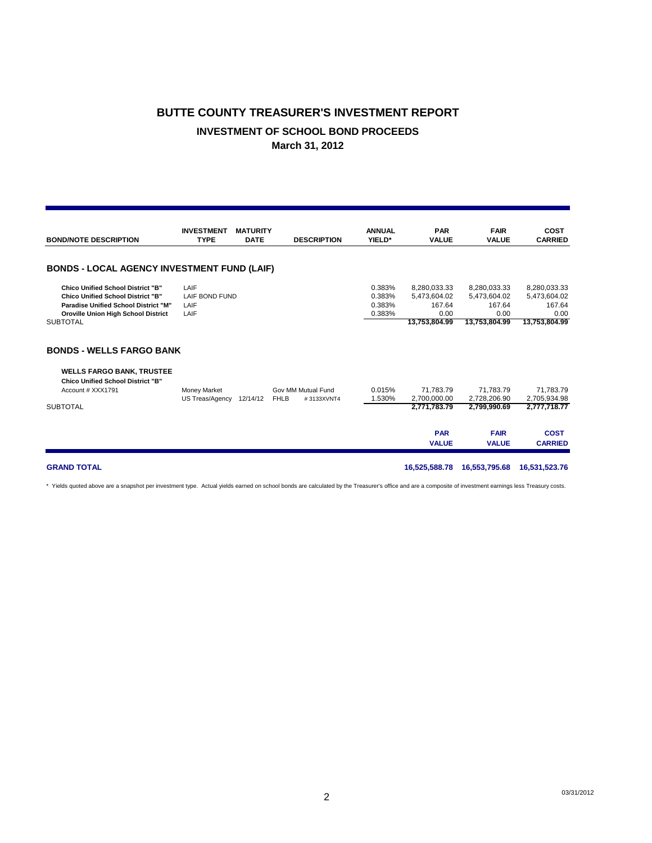### **BUTTE COUNTY TREASURER'S INVESTMENT REPORT INVESTMENT OF SCHOOL BOND PROCEEDS March 31, 2012**

| <b>BOND/NOTE DESCRIPTION</b>                                                                                                                                                                         | <b>INVESTMENT</b><br><b>TYPE</b>       | <b>MATURITY</b><br><b>DATE</b> | <b>DESCRIPTION</b>        | <b>ANNUAL</b><br>YIELD*              | <b>PAR</b><br><b>VALUE</b>                                      | <b>FAIR</b><br><b>VALUE</b>                                     | COST<br><b>CARRIED</b>                                          |
|------------------------------------------------------------------------------------------------------------------------------------------------------------------------------------------------------|----------------------------------------|--------------------------------|---------------------------|--------------------------------------|-----------------------------------------------------------------|-----------------------------------------------------------------|-----------------------------------------------------------------|
| <b>BONDS - LOCAL AGENCY INVESTMENT FUND (LAIF)</b>                                                                                                                                                   |                                        |                                |                           |                                      |                                                                 |                                                                 |                                                                 |
| <b>Chico Unified School District "B"</b><br><b>Chico Unified School District "B"</b><br><b>Paradise Unified School District "M"</b><br><b>Oroville Union High School District</b><br><b>SUBTOTAL</b> | LAIF<br>LAIF BOND FUND<br>LAIF<br>LAIF |                                |                           | 0.383%<br>0.383%<br>0.383%<br>0.383% | 8,280,033.33<br>5,473,604.02<br>167.64<br>0.00<br>13,753,804.99 | 8,280,033.33<br>5,473,604.02<br>167.64<br>0.00<br>13,753,804.99 | 8,280,033.33<br>5,473,604.02<br>167.64<br>0.00<br>13,753,804.99 |
| <b>BONDS - WELLS FARGO BANK</b>                                                                                                                                                                      |                                        |                                |                           |                                      |                                                                 |                                                                 |                                                                 |
| <b>WELLS FARGO BANK, TRUSTEE</b><br><b>Chico Unified School District "B"</b><br>Account # XXX1791                                                                                                    | Money Market                           |                                | Gov MM Mutual Fund        | 0.015%                               | 71,783.79                                                       | 71,783.79                                                       | 71,783.79                                                       |
| <b>SUBTOTAL</b>                                                                                                                                                                                      | US Treas/Agency                        | 12/14/12                       | <b>FHLB</b><br>#3133XVNT4 | 1.530%                               | 2.700.000.00<br>2,771,783.79                                    | 2,728,206.90<br>2,799,990.69                                    | 2,705,934.98<br>2,777,718.77                                    |
|                                                                                                                                                                                                      |                                        |                                |                           |                                      | <b>PAR</b><br><b>VALUE</b>                                      | <b>FAIR</b><br><b>VALUE</b>                                     | <b>COST</b><br><b>CARRIED</b>                                   |

**GRAND TOTAL 16,525,588.78 16,553,795.68 16,531,523.76**

\* Yields quoted above are a snapshot per investment type. Actual yields earned on school bonds are calculated by the Treasurer's office and are a composite of investment earnings less Treasury costs.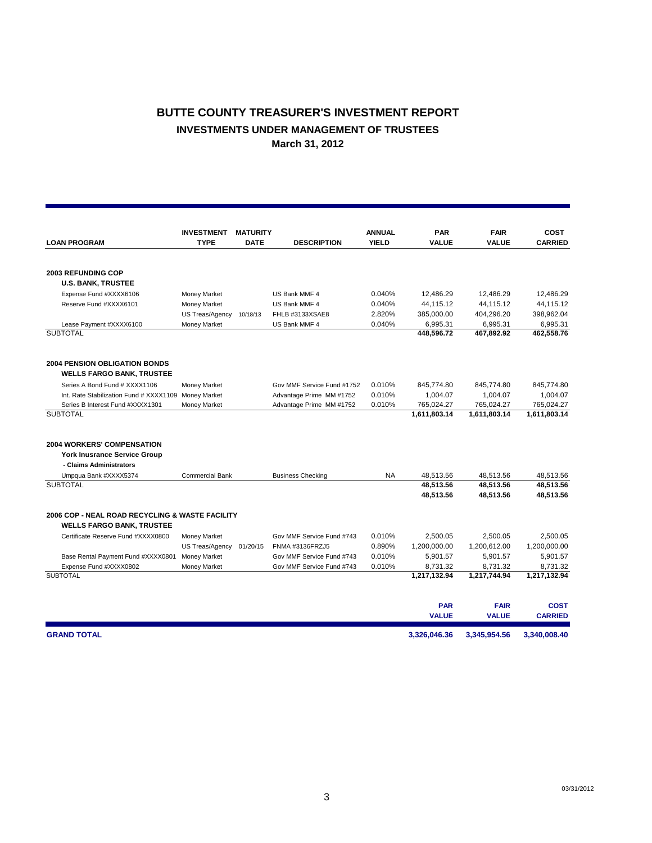### **BUTTE COUNTY TREASURER'S INVESTMENT REPORT INVESTMENTS UNDER MANAGEMENT OF TRUSTEES March 31, 2012**

|                                                      | <b>INVESTMENT</b>   | <b>MATURITY</b> |                            | <b>ANNUAL</b> | <b>PAR</b>   | <b>FAIR</b>  | COST           |
|------------------------------------------------------|---------------------|-----------------|----------------------------|---------------|--------------|--------------|----------------|
| <b>LOAN PROGRAM</b>                                  | <b>TYPE</b>         | <b>DATE</b>     | <b>DESCRIPTION</b>         | <b>YIELD</b>  | <b>VALUE</b> | <b>VALUE</b> | <b>CARRIED</b> |
|                                                      |                     |                 |                            |               |              |              |                |
| <b>2003 REFUNDING COP</b>                            |                     |                 |                            |               |              |              |                |
| <b>U.S. BANK, TRUSTEE</b>                            |                     |                 |                            |               |              |              |                |
| Expense Fund #XXXX6106                               | <b>Money Market</b> |                 | US Bank MMF 4              | 0.040%        | 12.486.29    | 12,486.29    | 12.486.29      |
| Reserve Fund #XXXX6101                               | Money Market        |                 | US Bank MMF 4              | 0.040%        | 44,115.12    | 44.115.12    | 44.115.12      |
|                                                      | US Treas/Agency     | 10/18/13        | FHLB #3133XSAE8            | 2.820%        | 385,000.00   | 404.296.20   | 398,962.04     |
| Lease Payment #XXXX6100                              | Money Market        |                 | US Bank MMF 4              | 0.040%        | 6,995.31     | 6,995.31     | 6,995.31       |
| <b>SUBTOTAL</b>                                      |                     |                 |                            |               | 448,596.72   | 467,892.92   | 462,558.76     |
| <b>2004 PENSION OBLIGATION BONDS</b>                 |                     |                 |                            |               |              |              |                |
| <b>WELLS FARGO BANK, TRUSTEE</b>                     |                     |                 |                            |               |              |              |                |
| Series A Bond Fund # XXXX1106                        | Money Market        |                 | Gov MMF Service Fund #1752 | 0.010%        | 845,774.80   | 845,774.80   | 845,774.80     |
| Int. Rate Stabilization Fund # XXXX1109 Money Market |                     |                 | Advantage Prime MM #1752   | 0.010%        | 1,004.07     | 1,004.07     | 1,004.07       |
| Series B Interest Fund #XXXX1301                     | Money Market        |                 | Advantage Prime MM #1752   | 0.010%        | 765,024.27   | 765,024.27   | 765,024.27     |
| <b>SUBTOTAL</b>                                      |                     |                 |                            |               | 1,611,803.14 | 1,611,803.14 | 1,611,803.14   |
|                                                      |                     |                 |                            |               |              |              |                |
| <b>2004 WORKERS' COMPENSATION</b>                    |                     |                 |                            |               |              |              |                |
| <b>York Inusrance Service Group</b>                  |                     |                 |                            |               |              |              |                |
| - Claims Administrators                              |                     |                 |                            |               |              |              |                |
| Umpqua Bank #XXXX5374                                | Commercial Bank     |                 | <b>Business Checking</b>   | <b>NA</b>     | 48,513.56    | 48,513.56    | 48,513.56      |
| <b>SUBTOTAL</b>                                      |                     |                 |                            |               | 48,513.56    | 48,513.56    | 48,513.56      |
|                                                      |                     |                 |                            |               | 48,513.56    | 48,513.56    | 48,513.56      |
| 2006 COP - NEAL ROAD RECYCLING & WASTE FACILITY      |                     |                 |                            |               |              |              |                |
| <b>WELLS FARGO BANK, TRUSTEE</b>                     |                     |                 |                            |               |              |              |                |
| Certificate Reserve Fund #XXXX0800                   | Money Market        |                 | Gov MMF Service Fund #743  | 0.010%        | 2,500.05     | 2,500.05     | 2,500.05       |
|                                                      | US Treas/Agency     | 01/20/15        | FNMA #3136FRZJ5            | 0.890%        | 1,200,000.00 | 1,200,612.00 | 1,200,000.00   |
| Base Rental Payment Fund #XXXX0801                   | Money Market        |                 | Gov MMF Service Fund #743  | 0.010%        | 5,901.57     | 5,901.57     | 5,901.57       |
| Expense Fund #XXXX0802                               | Money Market        |                 | Gov MMF Service Fund #743  | 0.010%        | 8,731.32     | 8,731.32     | 8,731.32       |
| <b>SUBTOTAL</b>                                      |                     |                 |                            |               | 1,217,132.94 | 1,217,744.94 | 1,217,132.94   |
|                                                      |                     |                 |                            |               | <b>PAR</b>   | <b>FAIR</b>  | <b>COST</b>    |
|                                                      |                     |                 |                            |               | <b>VALUE</b> | <b>VALUE</b> | <b>CARRIED</b> |
| <b>GRAND TOTAL</b>                                   |                     |                 |                            |               | 3.326.046.36 | 3.345.954.56 | 3.340.008.40   |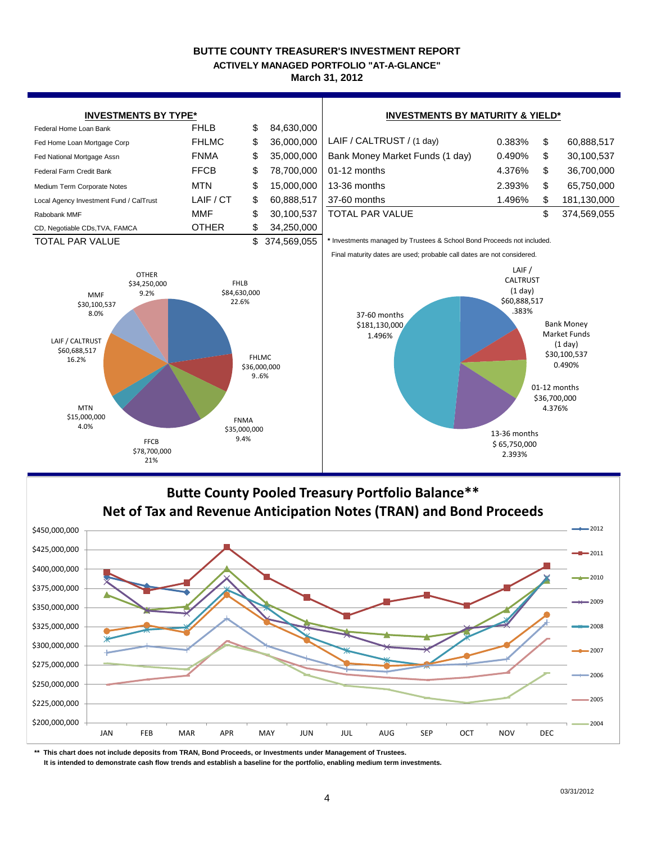#### **BUTTE COUNTY TREASURER'S INVESTMENT REPORT March 31, 2012 ACTIVELY MANAGED PORTFOLIO "AT-A-GLANCE"**



### **Butte County Pooled Treasury Portfolio Balance\*\* Net of Tax and Revenue Anticipation Notes (TRAN) and Bond Proceeds**



**\*\* This chart does not include deposits from TRAN, Bond Proceeds, or Investments under Management of Trustees.**

 **It is intended to demonstrate cash flow trends and establish a baseline for the portfolio, enabling medium term investments.**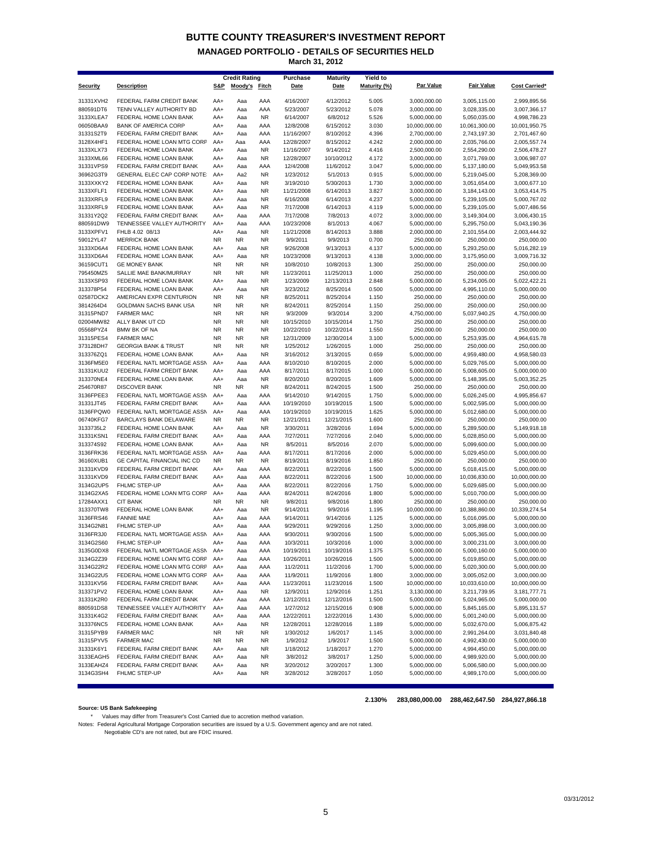### **BUTTE COUNTY TREASURER'S INVESTMENT REPORT**

**MANAGED PORTFOLIO - DETAILS OF SECURITIES HELD March 31, 2012**

| <b>Credit Rating</b><br>Yield to<br>Purchase<br><b>Maturity</b>                                                                                                                                                                    |                               |                               |
|------------------------------------------------------------------------------------------------------------------------------------------------------------------------------------------------------------------------------------|-------------------------------|-------------------------------|
| Par Value<br>Moody's Fitch<br>Maturity (%)<br><b>Security</b><br><b>Description</b><br><u>S&amp;P</u><br><b>Date</b><br>Date                                                                                                       | <b>Fair Value</b>             | <b>Cost Carried*</b>          |
| 31331XVH2<br>FEDERAL FARM CREDIT BANK<br>AA+<br>Aaa<br>AAA<br>4/16/2007<br>4/12/2012<br>5.005<br>3,000,000.00                                                                                                                      | 3,005,115.00                  | 2,999,895.56                  |
| 880591DT6<br>TENN VALLEY AUTHORITY BD<br>AA+<br>Aaa<br>AAA<br>5/23/2007<br>5/23/2012<br>5.078<br>3,000,000.00                                                                                                                      | 3,028,335.00                  | 3,007,366.17                  |
| 6/8/2012<br>3133XLEA7<br>FEDERAL HOME LOAN BANK<br>AA+<br>Aaa<br><b>NR</b><br>6/14/2007<br>5.526<br>5,000,000.00<br><b>BANK OF AMERICA CORP</b><br>AA+<br>Aaa<br>AAA<br>10,000,000.00                                              | 5,050,035.00                  | 4,998,786.23                  |
| 06050BAA9<br>12/8/2008<br>6/15/2012<br>3.030<br>AAA<br>8/10/2012<br>31331S2T9<br>FEDERAL FARM CREDIT BANK<br>AA+<br>Aaa<br>11/16/2007<br>4.396<br>2,700,000.00                                                                     | 10,061,300.00<br>2,743,197.30 | 10,001,950.75<br>2,701,467.60 |
| 3128X4HF1<br>FEDERAL HOME LOAN MTG CORP<br>AA+<br>Aaa<br>AAA<br>12/28/2007<br>8/15/2012<br>4.242<br>2,000,000.00                                                                                                                   | 2,035,766.00                  | 2,005,557.74                  |
| 3133XLX73<br>FEDERAL HOME LOAN BANK<br><b>NR</b><br>11/16/2007<br>9/14/2012<br>4.416<br>2,500,000.00<br>AA+<br>Aaa                                                                                                                 | 2,554,290.00                  | 2,506,478.27                  |
| 3133XML66<br>FEDERAL HOME LOAN BANK<br><b>NR</b><br>10/10/2012<br>4.172<br>3,000,000.00<br>AA+<br>Aaa<br>12/28/2007                                                                                                                | 3,071,769.00                  | 3,006,987.07                  |
| 31331VPS9<br>FEDERAL FARM CREDIT BANK<br>AA+<br>Aaa<br>AAA<br>12/4/2008<br>11/6/2012<br>3.047<br>5,000,000.00                                                                                                                      | 5,137,180.00                  | 5,049,953.58                  |
| 36962G3T9<br>GENERAL ELEC CAP CORP NOTE:<br>AA+<br>Aa2<br><b>NR</b><br>1/23/2012<br>5/1/2013<br>0.915<br>5,000,000.00                                                                                                              | 5,219,045.00                  | 5,208,369.00                  |
| 3133XXKY2<br>FEDERAL HOME LOAN BANK<br>AA+<br><b>NR</b><br>3/19/2010<br>5/30/2013<br>1.730<br>3,000,000.00<br>Aaa                                                                                                                  | 3,051,654.00                  | 3,000,677.10                  |
| 3133XFLF1<br>FEDERAL HOME LOAN BANK<br>AA+<br>Aaa<br><b>NR</b><br>11/21/2008<br>6/14/2013<br>3.827<br>3,000,000.00                                                                                                                 | 3,184,143.00                  | 3,053,414.75                  |
| 3133XRFL9<br><b>NR</b><br>FEDERAL HOME LOAN BANK<br>AA+<br>Aaa<br>6/16/2008<br>6/14/2013<br>4.237<br>5,000,000.00<br>3133XRFL9<br>FEDERAL HOME LOAN BANK<br>AA+<br><b>NR</b><br>7/17/2008<br>6/14/2013<br>4.119<br>5,000,000.00    | 5,239,105.00<br>5,239,105.00  | 5,000,767.02<br>5,007,486.56  |
| Aaa<br>31331Y2Q2<br>FEDERAL FARM CREDIT BANK<br>7/17/2008<br>7/8/2013<br>4.072<br>3,000,000.00<br>AA+<br>Aaa<br>AAA                                                                                                                | 3,149,304.00                  | 3,006,430.15                  |
| 880591DW9<br>TENNESSEE VALLEY AUTHORITY<br>AA+<br>Aaa<br>AAA<br>10/23/2008<br>8/1/2013<br>4.067<br>5,000,000.00                                                                                                                    | 5,295,750.00                  | 5,043,190.36                  |
| 3133XPFV1<br>FHLB 4.02 08/13<br><b>NR</b><br>AA+<br>Aaa<br>11/21/2008<br>8/14/2013<br>3.888<br>2,000,000.00                                                                                                                        | 2,101,554.00                  | 2,003,444.92                  |
| 59012YL47<br><b>MERRICK BANK</b><br><b>NR</b><br>NR.<br><b>NR</b><br>9/9/2011<br>9/9/2013<br>0.700<br>250,000.00                                                                                                                   | 250,000.00                    | 250,000.00                    |
| 3133XD6A4<br>FEDERAL HOME LOAN BANK<br>AA+<br>Aaa<br><b>NR</b><br>9/26/2008<br>9/13/2013<br>4.137<br>5,000,000.00                                                                                                                  | 5,293,250.00                  | 5,016,282.19                  |
| 3133XD6A4<br>FEDERAL HOME LOAN BANK<br>AA+<br>Aaa<br><b>NR</b><br>10/23/2008<br>9/13/2013<br>4.138<br>3,000,000.00                                                                                                                 | 3,175,950.00                  | 3,009,716.32                  |
| 36159CUT1<br><b>GE MONEY BANK</b><br><b>NR</b><br><b>NR</b><br><b>NR</b><br>10/8/2010<br>10/8/2013<br>1.300<br>250,000.00                                                                                                          | 250,000.00                    | 250,000.00                    |
| <b>NR</b><br>795450MZ5<br>SALLIE MAE BANK/MURRAY<br><b>NR</b><br>NR.<br>11/23/2011<br>11/25/2013<br>1.000<br>250,000.00                                                                                                            | 250,000.00                    | 250,000.00                    |
| 3133XSP93<br>FEDERAL HOME LOAN BANK<br>AA+<br>Aaa<br><b>NR</b><br>1/23/2009<br>12/13/2013<br>2.848<br>5,000,000.00<br>FEDERAL HOME LOAN BANK                                                                                       | 5,234,005.00                  | 5,022,422.21                  |
| 313378P54<br><b>NR</b><br>3/23/2012<br>8/25/2014<br>5,000,000.00<br>AA+<br>Aaa<br>0.500<br>02587DCK2<br>AMERICAN EXPR CENTURION<br><b>NR</b><br><b>NR</b><br>8/25/2011<br>8/25/2014<br>250,000.00<br>NR.<br>1.150                  | 4,995,110.00<br>250,000.00    | 5,000,000.00<br>250,000.00    |
| 3814264D4<br>GOLDMAN SACHS BANK USA<br><b>NR</b><br><b>NR</b><br><b>NR</b><br>8/24/2011<br>8/25/2014<br>1.150<br>250,000.00                                                                                                        | 250,000.00                    | 250,000.00                    |
| 31315PND7<br><b>FARMER MAC</b><br><b>NR</b><br><b>NR</b><br><b>NR</b><br>9/3/2009<br>9/3/2014<br>3.200<br>4,750,000.00                                                                                                             | 5,037,940.25                  | 4,750,000.00                  |
| 02004MW82<br>ALLY BANK UT CD<br><b>NR</b><br><b>NR</b><br><b>NR</b><br>10/15/2010<br>10/15/2014<br>1.750<br>250,000.00                                                                                                             | 250,000.00                    | 250,000.00                    |
| 05568PYZ4<br><b>BMW BK OF NA</b><br><b>NR</b><br><b>NR</b><br><b>NR</b><br>10/22/2010<br>10/22/2014<br>1.550<br>250,000.00                                                                                                         | 250,000.00                    | 250,000.00                    |
| <b>NR</b><br><b>NR</b><br>31315PES4<br><b>FARMER MAC</b><br><b>NR</b><br>12/31/2009<br>12/30/2014<br>3.100<br>5,000,000.00                                                                                                         | 5,253,935.00                  | 4,964,615.78                  |
| 373128DH7<br><b>GEORGIA BANK &amp; TRUST</b><br><b>NR</b><br>NR.<br>NR<br>1/25/2012<br>1/26/2015<br>1.000<br>250,000.00                                                                                                            | 250,000.00                    | 250,000.00                    |
| 313376ZQ1<br>FEDERAL HOME LOAN BANK<br><b>NR</b><br>3/16/2012<br>3/13/2015<br>0.659<br>5,000,000.00<br>AA+<br>Aaa                                                                                                                  | 4,959,480.00                  | 4,958,580.03                  |
| 3136FM5E0<br>FEDERAL NATL MORTGAGE ASSN<br>8/10/2010<br>8/10/2015<br>2.000<br>5,000,000.00<br>AA+<br>Aaa<br>AAA                                                                                                                    | 5,029,765.00                  | 5,000,000.00                  |
| 31331KUU2<br>FEDERAL FARM CREDIT BANK<br>AA+<br>Aaa<br>AAA<br>8/17/2011<br>8/17/2015<br>1.000<br>5,000,000.00<br>313370NE4<br>FEDERAL HOME LOAN BANK<br>AA+<br><b>NR</b><br>8/20/2010<br>8/20/2015<br>1.609<br>5,000,000.00<br>Aaa | 5,008,605.00<br>5,148,395.00  | 5,000,000.00<br>5,003,352.25  |
| 254670R87<br><b>DISCOVER BANK</b><br><b>NR</b><br>NR.<br><b>NR</b><br>8/24/2011<br>8/24/2015<br>1.500<br>250,000.00                                                                                                                | 250,000.00                    | 250,000.00                    |
| 3136FPEE3<br>FEDERAL NATL MORTGAGE ASSN<br>AA+<br>Aaa<br>AAA<br>9/14/2010<br>9/14/2015<br>1.750<br>5,000,000.00                                                                                                                    | 5,026,245.00                  | 4,995,856.67                  |
| FEDERAL FARM CREDIT BANK<br>31331JT45<br>AA+<br>Aaa<br>AAA<br>10/19/2010<br>10/19/2015<br>1.500<br>5,000,000.00                                                                                                                    | 5,002,595.00                  | 5,000,000.00                  |
| 3136FPQW0<br>FEDERAL NATL MORTGAGE ASSN<br>AA+<br>AAA<br>10/19/2010<br>10/19/2015<br>1.625<br>5,000,000.00<br>Aaa                                                                                                                  | 5,012,680.00                  | 5,000,000.00                  |
| 06740KFG7<br>BARCLAYS BANK DELAWARE<br><b>NR</b><br>NR.<br><b>NR</b><br>12/21/2011<br>12/21/2015<br>1.600<br>250,000.00                                                                                                            | 250,000.00                    | 250,000.00                    |
| 3133735L2<br>FEDERAL HOME LOAN BANK<br><b>NR</b><br>3/30/2011<br>3/28/2016<br>AA+<br>Aaa<br>1.694<br>5,000,000.00                                                                                                                  | 5,289,500.00                  | 5,149,918.18                  |
| 31331KSN1<br>FEDERAL FARM CREDIT BANK<br>AA+<br>Aaa<br>AAA<br>7/27/2011<br>7/27/2016<br>2.040<br>5,000,000.00                                                                                                                      | 5,028,850.00                  | 5,000,000.00                  |
| 313374S92<br>FEDERAL HOME LOAN BANK<br>AA+<br><b>NR</b><br>8/5/2011<br>8/5/2016<br>2.070<br>5,000,000.00<br>Aaa<br>FEDERAL NATL MORTGAGE ASSN<br>AA+<br>Aaa<br>AAA<br>8/17/2011<br>8/17/2016                                       | 5,099,600.00                  | 5,000,000.00                  |
| 3136FRK36<br>2.000<br>5,000,000.00<br>36160XUB1<br>GE CAPITAL FINANCIAL INC CD<br><b>NR</b><br>NR.<br><b>NR</b><br>8/19/2011<br>8/19/2016<br>1.850<br>250,000.00                                                                   | 5,029,450.00<br>250,000.00    | 5,000,000.00<br>250,000.00    |
| 31331KVD9<br>FEDERAL FARM CREDIT BANK<br>8/22/2011<br>AA+<br>Aaa<br>AAA<br>8/22/2016<br>1.500<br>5,000,000.00                                                                                                                      | 5,018,415.00                  | 5,000,000.00                  |
| 31331KVD9<br>FEDERAL FARM CREDIT BANK<br>AA+<br>AAA<br>8/22/2011<br>8/22/2016<br>1.500<br>10,000,000.00<br>Aaa                                                                                                                     | 10,036,830.00                 | 10,000,000.00                 |
| 3134G2UP5<br>FHLMC STEP-UP<br>AA+<br>Aaa<br>AAA<br>8/22/2011<br>8/22/2016<br>1.750<br>5,000,000.00                                                                                                                                 | 5,029,685.00                  | 5,000,000.00                  |
| FEDERAL HOME LOAN MTG CORP<br>3134G2XA5<br>AA+<br>Aaa<br>AAA<br>8/24/2011<br>8/24/2016<br>1.800<br>5,000,000.00                                                                                                                    | 5,010,700.00                  | 5,000,000.00                  |
| 17284AXX1<br><b>CIT BANK</b><br><b>NR</b><br>NR.<br><b>NR</b><br>9/8/2011<br>9/8/2016<br>1.800<br>250,000.00                                                                                                                       | 250,000.00                    | 250,000.00                    |
| 313370TW8<br>FEDERAL HOME LOAN BANK<br>AA+<br><b>NR</b><br>9/14/2011<br>9/9/2016<br>1.195<br>10,000,000.00<br>Aaa                                                                                                                  | 10,388,860.00                 | 10,339,274.54                 |
| 3136FRS46<br><b>FANNIE MAE</b><br>AA+<br>Aaa<br>AAA<br>9/14/2011<br>9/14/2016<br>1.125<br>5,000,000.00                                                                                                                             | 5,016,095.00                  | 5,000,000.00                  |
| 3134G2N81<br>FHLMC STEP-UP<br>AA+<br>AAA<br>9/29/2011<br>9/29/2016<br>1.250<br>3,000,000.00<br>Aaa<br>FEDERAL NATL MORTGAGE ASSN                                                                                                   | 3,005,898.00                  | 3,000,000.00                  |
| 3136FR3J0<br>AA+<br>Aaa<br>AAA<br>9/30/2011<br>9/30/2016<br>1.500<br>5,000,000.00<br>3134G2S60<br>FHLMC STEP-UP<br>AA+<br>Aaa<br>AAA<br>10/3/2011<br>10/3/2016<br>1.000<br>3,000,000.00                                            | 5,005,365.00<br>3,000,231.00  | 5,000,000.00<br>3,000,000.00  |
| 3135G0DX8<br>FEDERAL NATL MORTGAGE ASSN<br>AA+<br>Aaa<br>AAA<br>10/19/2011<br>10/19/2016<br>1.375<br>5,000,000.00                                                                                                                  | 5,000,160.00                  | 5,000,000.00                  |
| 3134G2Z39<br>10/26/2011<br>5,000,000.00<br>FEDERAL HOME LOAN MTG CORP<br>AA+<br>Aaa<br>AAA<br>10/26/2016<br>1.500                                                                                                                  | 5,019,850.00                  | 5,000,000.00                  |
| 3134G22R2<br>FEDERAL HOME LOAN MTG CORP<br>AA+<br>AAA<br>11/2/2011<br>11/2/2016<br>1.700<br>5,000,000.00<br>Aaa                                                                                                                    | 5,020,300.00                  | 5,000,000.00                  |
| 3134G22U5<br>FEDERAL HOME LOAN MTG CORP<br>AA+<br>11/9/2011<br>3,000,000.00<br>Aaa<br>AAA<br>11/9/2016<br>1.800                                                                                                                    | 3,005,052.00                  | 3,000,000.00                  |
| 31331KV56<br>FEDERAL FARM CREDIT BANK<br>AA+<br>AAA<br>11/23/2011<br>11/23/2016<br>1.500<br>10,000,000.00<br>Aaa                                                                                                                   | 10,033,610.00                 | 10,000,000.00                 |
| 313371PV2<br>FEDERAL HOME LOAN BANK<br>AA+<br><b>NR</b><br>12/9/2011<br>12/9/2016<br>1.251<br>3,130,000.00<br>Aaa                                                                                                                  | 3,211,739.95                  | 3,181,777.71                  |
| 31331K2R0<br>FEDERAL FARM CREDIT BANK<br>AA+<br>AAA<br>12/12/2011<br>12/12/2016<br>5,000,000.00<br>Aaa<br>1.500                                                                                                                    | 5,024,965.00                  | 5,000,000.00                  |
| 880591DS8<br>TENNESSEE VALLEY AUTHORITY<br>AA+<br>1/27/2012<br>12/15/2016<br>0.908<br>Aaa<br>AAA<br>5,000,000.00                                                                                                                   | 5,845,165.00                  | 5,895,131.57                  |
| 31331K4G2<br>FEDERAL FARM CREDIT BANK<br>12/22/2011<br>12/22/2016<br>5,000,000.00<br>AA+<br>Aaa<br>AAA<br>1.430<br>FEDERAL HOME LOAN BANK                                                                                          | 5,001,240.00                  | 5,000,000.00                  |
| 313376NC5<br>AA+<br>Aaa<br>NR<br>12/28/2011<br>12/28/2016<br>1.189<br>5,000,000.00<br>31315PYB9<br><b>FARMER MAC</b><br>NR<br>NR<br>NR<br>1/30/2012<br>1/6/2017<br>1.145<br>3,000,000.00                                           | 5,032,670.00<br>2,991,264.00  | 5,006,875.42<br>3,031,840.48  |
| 31315PYV5<br><b>FARMER MAC</b><br>NR.<br>NR<br><b>NR</b><br>1/9/2012<br>1/9/2017<br>5,000,000.00<br>1.500                                                                                                                          | 4,992,430.00                  | 5,000,000.00                  |
| 31331K6Y1<br>FEDERAL FARM CREDIT BANK<br>AA+<br><b>NR</b><br>1/18/2012<br>1/18/2017<br>5,000,000.00<br>Aaa<br>1.270                                                                                                                | 4,994,450.00                  | 5,000,000.00                  |
| 3133EAGH5<br>FEDERAL FARM CREDIT BANK<br>AA+<br><b>NR</b><br>3/8/2012<br>3/8/2017<br>1.250<br>5,000,000.00<br>Aaa                                                                                                                  | 4,989,920.00                  | 5,000,000.00                  |
| 3133EAHZ4<br>FEDERAL FARM CREDIT BANK<br>AA+<br><b>NR</b><br>3/20/2012<br>3/20/2017<br>1.300<br>5,000,000.00<br>Aaa                                                                                                                | 5,006,580.00                  | 5,000,000.00                  |
| 3134G3SH4<br>FHLMC STEP-UP<br>AA+<br><b>NR</b><br>3/28/2012<br>3/28/2017<br>1.050<br>5,000,000.00<br>Aaa                                                                                                                           | 4,989,170.00                  | 5,000,000.00                  |

#### **2.130% 283,080,000.00 288,462,647.50 284,927,866.18**

#### **Source: US Bank Safekeeping**

\* Values may differ from Treasurer's Cost Carried due to accretion method variation.

Notes: Federal Agricultural Mortgage Corporation securities are issued by a U.S. Government agency and are not rated.<br>Negotiable CD's are not rated, but are FDIC insured.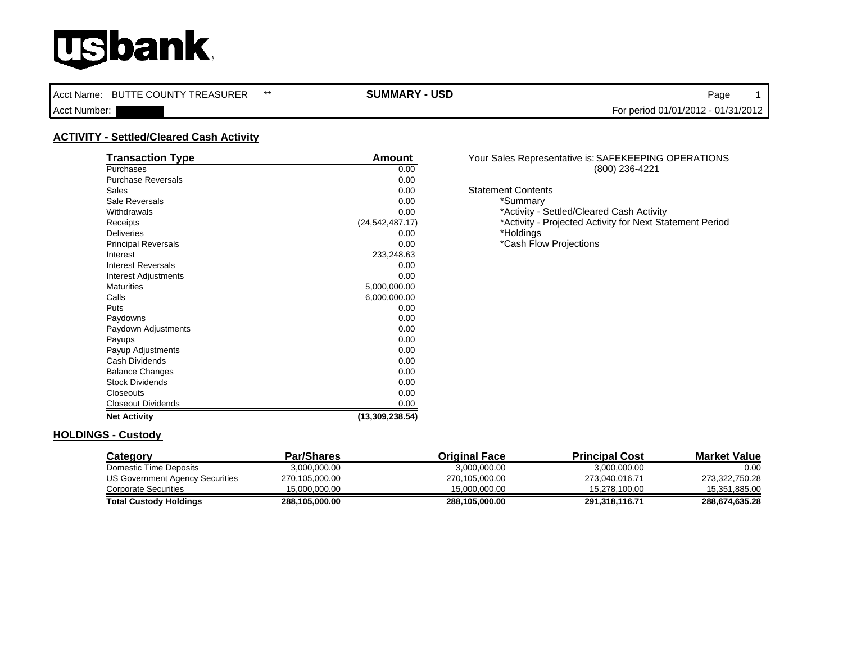Acct Name: BUTTE COUNTY TREASURER \*\* **SUMMARY - USD Page 1** 

Acct Number: For period 01/01/2012 - 01/31/2012

### **ACTIVITY - Settled/Cleared Cash Activity**

| <b>Transaction Type</b>    | Amount            | Your Sales Repre        |
|----------------------------|-------------------|-------------------------|
| Purchases                  | 0.00              |                         |
| <b>Purchase Reversals</b>  | 0.00              |                         |
| Sales                      | 0.00              | <b>Statement Conten</b> |
| Sale Reversals             | 0.00              | *Summary                |
| Withdrawals                | 0.00              | *Activity - :           |
| Receipts                   | (24, 542, 487.17) | *Activity - I           |
| <b>Deliveries</b>          | 0.00              | *Holdings               |
| <b>Principal Reversals</b> | 0.00              | *Cash Floy              |
| Interest                   | 233,248.63        |                         |
| <b>Interest Reversals</b>  | 0.00              |                         |
| Interest Adjustments       | 0.00              |                         |
| <b>Maturities</b>          | 5,000,000.00      |                         |
| Calls                      | 6,000,000.00      |                         |
| Puts                       | 0.00              |                         |
| Paydowns                   | 0.00              |                         |
| Paydown Adjustments        | 0.00              |                         |
| Payups                     | 0.00              |                         |
| Payup Adjustments          | 0.00              |                         |
| Cash Dividends             | 0.00              |                         |
| <b>Balance Changes</b>     | 0.00              |                         |
| <b>Stock Dividends</b>     | 0.00              |                         |
| Closeouts                  | 0.00              |                         |
| <b>Closeout Dividends</b>  | 0.00              |                         |
| <b>Net Activity</b>        | (13,309,238.54)   |                         |

#### Your Sales Representative is: SAFEKEEPING OPERATIONS (800) 236-4221

**Statement Contents** 

\*Activity - Settled/Cleared Cash Activity \*Activity - Projected Activity for Next Statement Period \*Cash Flow Projections

#### **HOLDINGS - Custody**

| Category                        | Par/Shares     | <b>Original Face</b> | <b>Principal Cost</b> | <b>Market Value</b> |
|---------------------------------|----------------|----------------------|-----------------------|---------------------|
| Domestic Time Deposits          | 3,000,000.00   | 3,000,000.00         | 3,000,000.00          | 0.00                |
| US Government Agency Securities | 270,105,000.00 | 270,105,000.00       | 273.040.016.71        | 273,322,750.28      |
| <b>Corporate Securities</b>     | 15.000.000.00  | 15.000.000.00        | 15.278.100.00         | 15,351,885.00       |
| <b>Total Custody Holdings</b>   | 288,105,000.00 | 288.105.000.00       | 291,318,116.71        | 288,674,635.28      |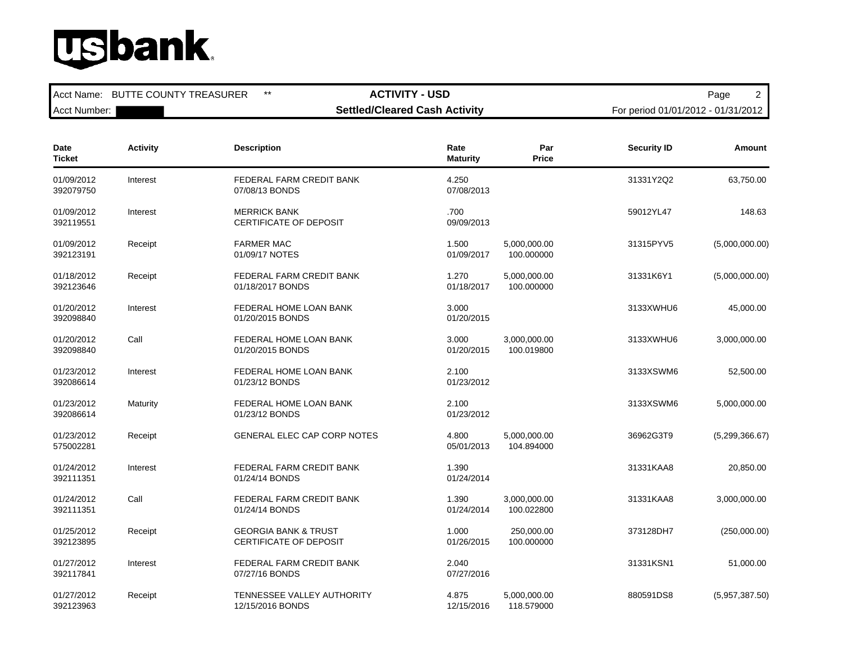Acct Name: BUTTE COUNTY TREASURER \*\* **ACTIVITY - USD ACTIVITY - ACTIVITY - ASSESS** 

Acct Number: **Number: Settled/Cleared Cash Activity** For period 01/01/2012 - 01/31/2012

| Date<br><b>Ticket</b>   | <b>Activity</b> | <b>Description</b>                                               | Rate<br><b>Maturity</b> | Par<br><b>Price</b>        | <b>Security ID</b> | Amount         |
|-------------------------|-----------------|------------------------------------------------------------------|-------------------------|----------------------------|--------------------|----------------|
| 01/09/2012<br>392079750 | Interest        | FEDERAL FARM CREDIT BANK<br>07/08/13 BONDS                       | 4.250<br>07/08/2013     |                            | 31331Y2Q2          | 63,750.00      |
| 01/09/2012<br>392119551 | Interest        | <b>MERRICK BANK</b><br>CERTIFICATE OF DEPOSIT                    | .700<br>09/09/2013      |                            | 59012YL47          | 148.63         |
| 01/09/2012<br>392123191 | Receipt         | <b>FARMER MAC</b><br>01/09/17 NOTES                              | 1.500<br>01/09/2017     | 5,000,000.00<br>100.000000 | 31315PYV5          | (5,000,000.00) |
| 01/18/2012<br>392123646 | Receipt         | FEDERAL FARM CREDIT BANK<br>01/18/2017 BONDS                     | 1.270<br>01/18/2017     | 5,000,000.00<br>100.000000 | 31331K6Y1          | (5,000,000.00) |
| 01/20/2012<br>392098840 | Interest        | FEDERAL HOME LOAN BANK<br>01/20/2015 BONDS                       | 3.000<br>01/20/2015     |                            | 3133XWHU6          | 45,000.00      |
| 01/20/2012<br>392098840 | Call            | FEDERAL HOME LOAN BANK<br>01/20/2015 BONDS                       | 3.000<br>01/20/2015     | 3,000,000.00<br>100.019800 | 3133XWHU6          | 3,000,000.00   |
| 01/23/2012<br>392086614 | Interest        | FEDERAL HOME LOAN BANK<br>01/23/12 BONDS                         | 2.100<br>01/23/2012     |                            | 3133XSWM6          | 52,500.00      |
| 01/23/2012<br>392086614 | Maturity        | FEDERAL HOME LOAN BANK<br>01/23/12 BONDS                         | 2.100<br>01/23/2012     |                            | 3133XSWM6          | 5,000,000.00   |
| 01/23/2012<br>575002281 | Receipt         | <b>GENERAL ELEC CAP CORP NOTES</b>                               | 4.800<br>05/01/2013     | 5,000,000.00<br>104.894000 | 36962G3T9          | (5,299,366.67) |
| 01/24/2012<br>392111351 | Interest        | FEDERAL FARM CREDIT BANK<br>01/24/14 BONDS                       | 1.390<br>01/24/2014     |                            | 31331KAA8          | 20,850.00      |
| 01/24/2012<br>392111351 | Call            | FEDERAL FARM CREDIT BANK<br>01/24/14 BONDS                       | 1.390<br>01/24/2014     | 3,000,000.00<br>100.022800 | 31331KAA8          | 3,000,000.00   |
| 01/25/2012<br>392123895 | Receipt         | <b>GEORGIA BANK &amp; TRUST</b><br><b>CERTIFICATE OF DEPOSIT</b> | 1.000<br>01/26/2015     | 250,000.00<br>100.000000   | 373128DH7          | (250,000.00)   |
| 01/27/2012<br>392117841 | Interest        | FEDERAL FARM CREDIT BANK<br>07/27/16 BONDS                       | 2.040<br>07/27/2016     |                            | 31331KSN1          | 51,000.00      |
| 01/27/2012<br>392123963 | Receipt         | TENNESSEE VALLEY AUTHORITY<br>12/15/2016 BONDS                   | 4.875<br>12/15/2016     | 5,000,000.00<br>118.579000 | 880591DS8          | (5,957,387.50) |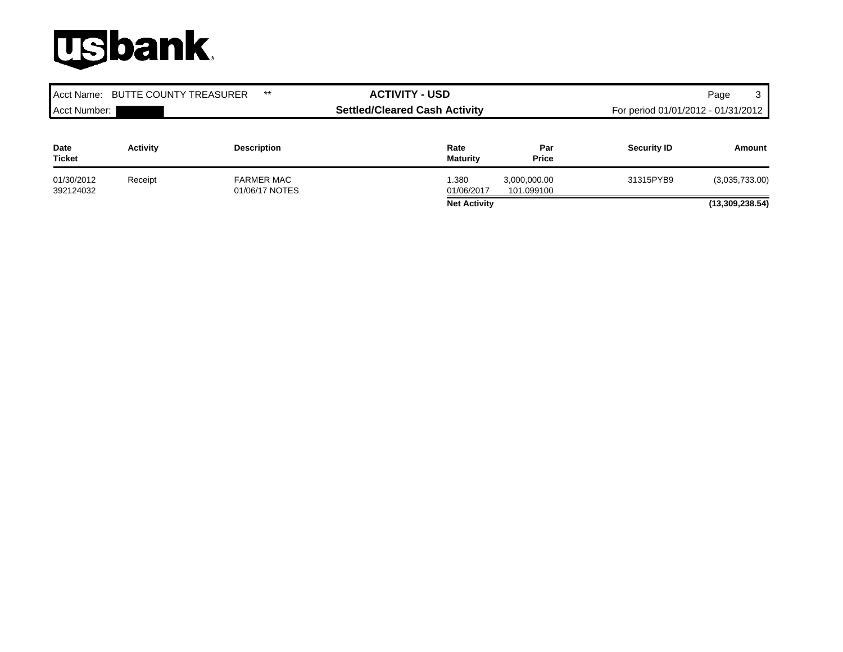| $***$<br><b>BUTTE COUNTY TREASURER</b><br>Acct Name: |                 | <b>ACTIVITY - USD</b>                |                         | 3<br>Page                          |                    |                 |
|------------------------------------------------------|-----------------|--------------------------------------|-------------------------|------------------------------------|--------------------|-----------------|
| Acct Number:                                         |                 | <b>Settled/Cleared Cash Activity</b> |                         | For period 01/01/2012 - 01/31/2012 |                    |                 |
| Date<br><b>Ticket</b>                                | <b>Activity</b> | <b>Description</b>                   | Rate<br><b>Maturity</b> | Par<br><b>Price</b>                | <b>Security ID</b> | Amount          |
| 01/30/2012<br>392124032                              | Receipt         | <b>FARMER MAC</b><br>01/06/17 NOTES  | 1.380<br>01/06/2017     | 3,000,000.00<br>101.099100         | 31315PYB9          | (3,035,733.00)  |
|                                                      |                 |                                      | <b>Net Activity</b>     |                                    |                    | (13,309,238.54) |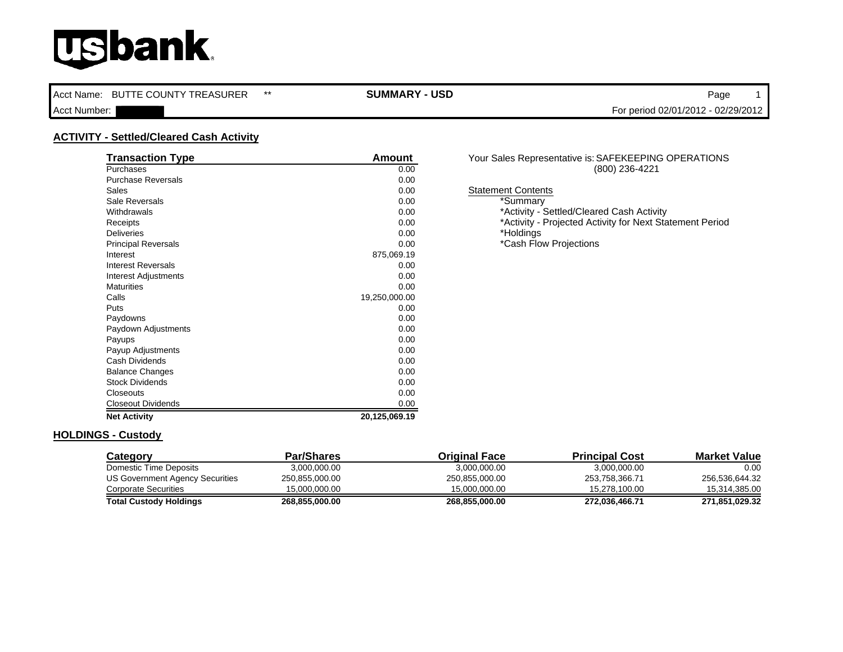Acct Name: BUTTE COUNTY TREASURER \*\* **SUMMARY - USD Page 1** 

Acct Number: For period 02/01/2012 - 02/29/2012

### **ACTIVITY - Settled/Cleared Cash Activity**

| <b>Transaction Type</b>    | Amount        | Your Sales Repre        |
|----------------------------|---------------|-------------------------|
| Purchases                  | 0.00          |                         |
| <b>Purchase Reversals</b>  | 0.00          |                         |
| Sales                      | 0.00          | <b>Statement Conten</b> |
| Sale Reversals             | 0.00          | *Summary                |
| Withdrawals                | 0.00          |                         |
| Receipts                   | 0.00          | *Activity - I           |
| <b>Deliveries</b>          | 0.00          | *Holdings               |
| <b>Principal Reversals</b> | 0.00          | *Cash Floy              |
| Interest                   | 875,069.19    |                         |
| <b>Interest Reversals</b>  | 0.00          |                         |
| Interest Adjustments       | 0.00          |                         |
| <b>Maturities</b>          | 0.00          |                         |
| Calls                      | 19,250,000.00 |                         |
| Puts                       | 0.00          |                         |
| Paydowns                   | 0.00          |                         |
| Paydown Adjustments        | 0.00          |                         |
| Payups                     | 0.00          |                         |
| Payup Adjustments          | 0.00          |                         |
| Cash Dividends             | 0.00          |                         |
| <b>Balance Changes</b>     | 0.00          |                         |
| <b>Stock Dividends</b>     | 0.00          |                         |
| Closeouts                  | 0.00          |                         |
| <b>Closeout Dividends</b>  | 0.00          |                         |
| <b>Net Activity</b>        | 20,125,069.19 |                         |

#### Your Sales Representative is: SAFEKEEPING OPERATIONS (800) 236-4221

**Statement Contents** 

\*Activity - Settled/Cleared Cash Activity \*Activity - Projected Activity for Next Statement Period \*Cash Flow Projections

#### **HOLDINGS - Custody**

| Category                        | <b>Par/Shares</b> | <b>Original Face</b> | <b>Principal Cost</b> | <b>Market Value</b> |
|---------------------------------|-------------------|----------------------|-----------------------|---------------------|
| Domestic Time Deposits          | 3,000,000.00      | 3,000,000.00         | 3,000,000.00          | 0.00                |
| US Government Agency Securities | 250,855,000.00    | 250,855,000.00       | 253.758.366.71        | 256.536.644.32      |
| <b>Corporate Securities</b>     | 15.000.000.00     | 15.000.000.00        | 15.278.100.00         | 15,314,385.00       |
| <b>Total Custody Holdings</b>   | 268,855,000.00    | 268.855.000.00       | 272,036,466.71        | 271,851,029.32      |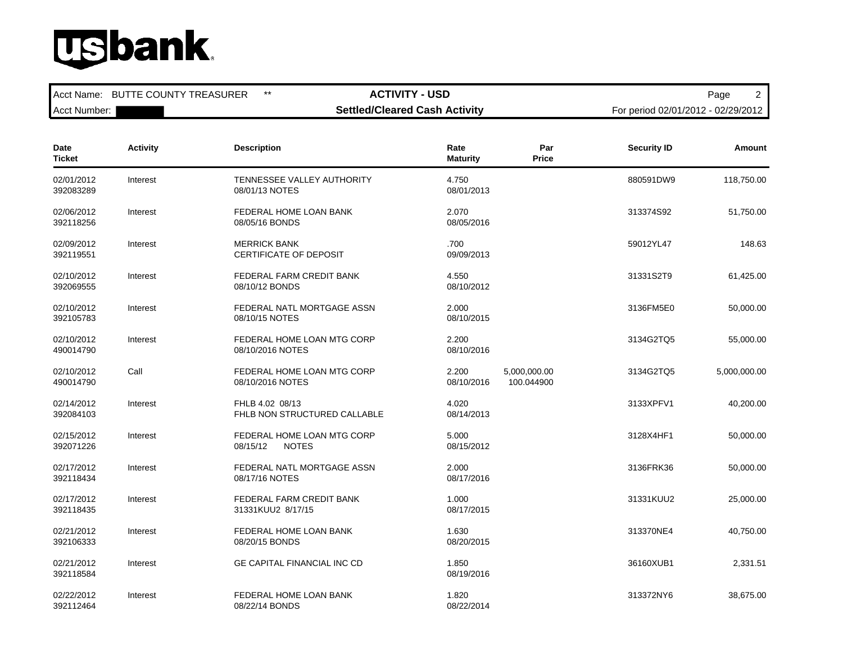Acct Name: BUTTE COUNTY TREASURER \*\* **ACTIVITY - USD ACTIVITY - ACTIVITY - ASSESS** Acct Number: **Number: Settled/Cleared Cash Activity** For period 02/01/2012 - 02/29/2012

| Date<br><b>Ticket</b>   | <b>Activity</b> | <b>Description</b>                                     | Rate<br><b>Maturity</b> | Par<br><b>Price</b>        | <b>Security ID</b> | Amount       |
|-------------------------|-----------------|--------------------------------------------------------|-------------------------|----------------------------|--------------------|--------------|
| 02/01/2012<br>392083289 | Interest        | TENNESSEE VALLEY AUTHORITY<br>08/01/13 NOTES           | 4.750<br>08/01/2013     |                            | 880591DW9          | 118,750.00   |
| 02/06/2012<br>392118256 | Interest        | FEDERAL HOME LOAN BANK<br>08/05/16 BONDS               | 2.070<br>08/05/2016     |                            | 313374S92          | 51,750.00    |
| 02/09/2012<br>392119551 | Interest        | <b>MERRICK BANK</b><br>CERTIFICATE OF DEPOSIT          | .700<br>09/09/2013      |                            | 59012YL47          | 148.63       |
| 02/10/2012<br>392069555 | Interest        | FEDERAL FARM CREDIT BANK<br>08/10/12 BONDS             | 4.550<br>08/10/2012     |                            | 31331S2T9          | 61,425.00    |
| 02/10/2012<br>392105783 | Interest        | FEDERAL NATL MORTGAGE ASSN<br>08/10/15 NOTES           | 2.000<br>08/10/2015     |                            | 3136FM5E0          | 50,000.00    |
| 02/10/2012<br>490014790 | Interest        | FEDERAL HOME LOAN MTG CORP<br>08/10/2016 NOTES         | 2.200<br>08/10/2016     |                            | 3134G2TQ5          | 55,000.00    |
| 02/10/2012<br>490014790 | Call            | FEDERAL HOME LOAN MTG CORP<br>08/10/2016 NOTES         | 2.200<br>08/10/2016     | 5,000,000.00<br>100.044900 | 3134G2TQ5          | 5,000,000.00 |
| 02/14/2012<br>392084103 | Interest        | FHLB 4.02 08/13<br>FHLB NON STRUCTURED CALLABLE        | 4.020<br>08/14/2013     |                            | 3133XPFV1          | 40,200.00    |
| 02/15/2012<br>392071226 | Interest        | FEDERAL HOME LOAN MTG CORP<br><b>NOTES</b><br>08/15/12 | 5.000<br>08/15/2012     |                            | 3128X4HF1          | 50,000.00    |
| 02/17/2012<br>392118434 | Interest        | FEDERAL NATL MORTGAGE ASSN<br>08/17/16 NOTES           | 2.000<br>08/17/2016     |                            | 3136FRK36          | 50,000.00    |
| 02/17/2012<br>392118435 | Interest        | <b>FEDERAL FARM CREDIT BANK</b><br>31331KUU2 8/17/15   | 1.000<br>08/17/2015     |                            | 31331KUU2          | 25,000.00    |
| 02/21/2012<br>392106333 | Interest        | FEDERAL HOME LOAN BANK<br>08/20/15 BONDS               | 1.630<br>08/20/2015     |                            | 313370NE4          | 40,750.00    |
| 02/21/2012<br>392118584 | Interest        | <b>GE CAPITAL FINANCIAL INC CD</b>                     | 1.850<br>08/19/2016     |                            | 36160XUB1          | 2,331.51     |
| 02/22/2012<br>392112464 | Interest        | FEDERAL HOME LOAN BANK<br>08/22/14 BONDS               | 1.820<br>08/22/2014     |                            | 313372NY6          | 38,675.00    |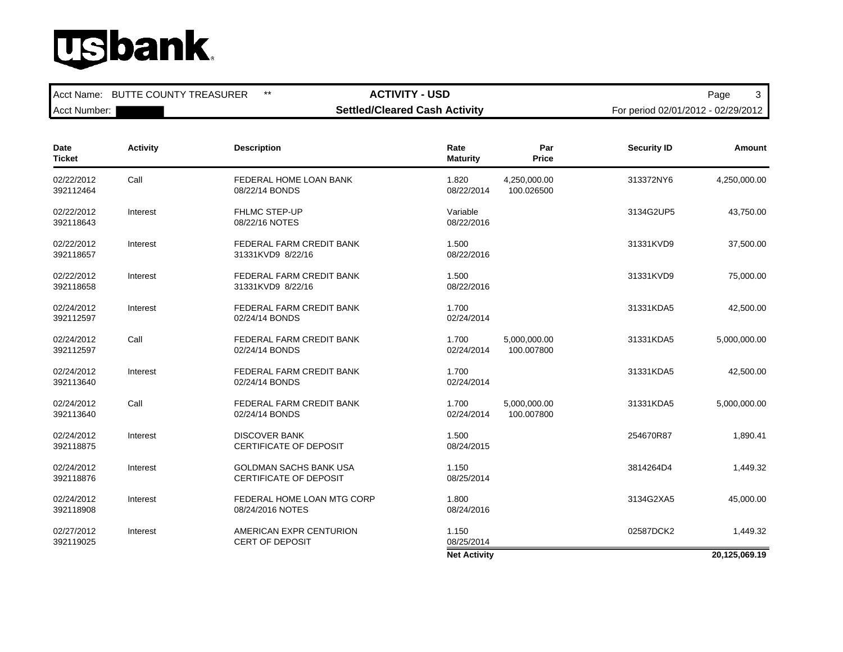Acct Name: BUTTE COUNTY TREASURER \*\* **ACTIVITY - USD ACTIVITY - ACTIVITY - ASSESS** 

Acct Number: **Number: Settled/Cleared Cash Activity** For period 02/01/2012 - 02/29/2012

| Date<br><b>Ticket</b>   | <b>Activity</b> | <b>Description</b>                                             | Rate<br><b>Maturity</b> | Par<br><b>Price</b>        | <b>Security ID</b> | Amount        |
|-------------------------|-----------------|----------------------------------------------------------------|-------------------------|----------------------------|--------------------|---------------|
| 02/22/2012<br>392112464 | Call            | FEDERAL HOME LOAN BANK<br>08/22/14 BONDS                       | 1.820<br>08/22/2014     | 4,250,000.00<br>100.026500 | 313372NY6          | 4,250,000.00  |
| 02/22/2012<br>392118643 | Interest        | <b>FHLMC STEP-UP</b><br>08/22/16 NOTES                         | Variable<br>08/22/2016  |                            | 3134G2UP5          | 43,750.00     |
| 02/22/2012<br>392118657 | Interest        | FEDERAL FARM CREDIT BANK<br>31331KVD9 8/22/16                  | 1.500<br>08/22/2016     |                            | 31331KVD9          | 37,500.00     |
| 02/22/2012<br>392118658 | Interest        | FEDERAL FARM CREDIT BANK<br>31331KVD9 8/22/16                  | 1.500<br>08/22/2016     |                            | 31331KVD9          | 75,000.00     |
| 02/24/2012<br>392112597 | Interest        | FEDERAL FARM CREDIT BANK<br>02/24/14 BONDS                     | 1.700<br>02/24/2014     |                            | 31331KDA5          | 42,500.00     |
| 02/24/2012<br>392112597 | Call            | FEDERAL FARM CREDIT BANK<br>02/24/14 BONDS                     | 1.700<br>02/24/2014     | 5,000,000.00<br>100.007800 | 31331KDA5          | 5,000,000.00  |
| 02/24/2012<br>392113640 | Interest        | FEDERAL FARM CREDIT BANK<br>02/24/14 BONDS                     | 1.700<br>02/24/2014     |                            | 31331KDA5          | 42,500.00     |
| 02/24/2012<br>392113640 | Call            | FEDERAL FARM CREDIT BANK<br>02/24/14 BONDS                     | 1.700<br>02/24/2014     | 5,000,000.00<br>100.007800 | 31331KDA5          | 5,000,000.00  |
| 02/24/2012<br>392118875 | Interest        | <b>DISCOVER BANK</b><br><b>CERTIFICATE OF DEPOSIT</b>          | 1.500<br>08/24/2015     |                            | 254670R87          | 1.890.41      |
| 02/24/2012<br>392118876 | Interest        | <b>GOLDMAN SACHS BANK USA</b><br><b>CERTIFICATE OF DEPOSIT</b> | 1.150<br>08/25/2014     |                            | 3814264D4          | 1,449.32      |
| 02/24/2012<br>392118908 | Interest        | FEDERAL HOME LOAN MTG CORP<br>08/24/2016 NOTES                 | 1.800<br>08/24/2016     |                            | 3134G2XA5          | 45,000.00     |
| 02/27/2012<br>392119025 | Interest        | AMERICAN EXPR CENTURION<br><b>CERT OF DEPOSIT</b>              | 1.150<br>08/25/2014     |                            | 02587DCK2          | 1,449.32      |
|                         |                 |                                                                | <b>Net Activity</b>     |                            |                    | 20,125,069.19 |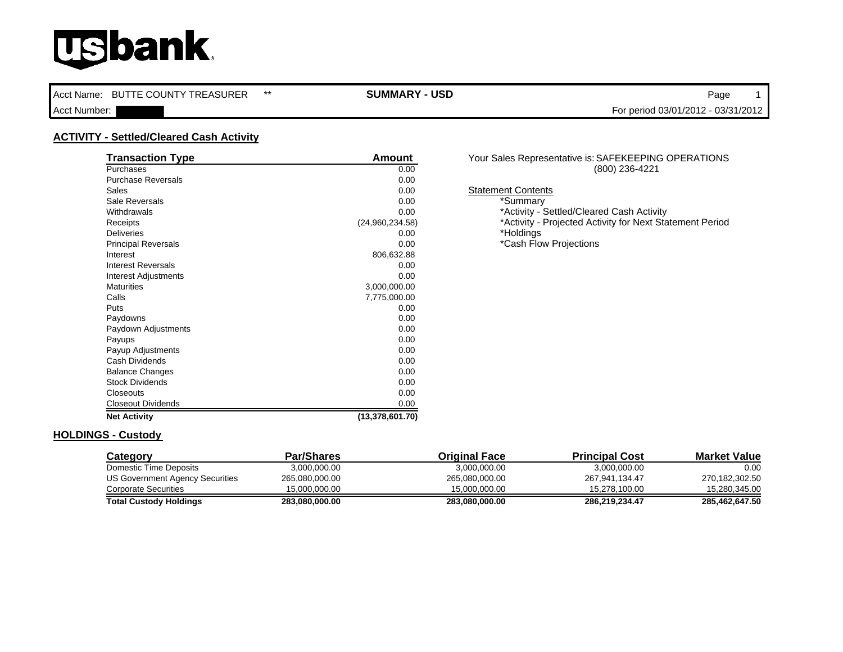Acct Name: BUTTE COUNTY TREASURER \*\* **SUMMARY - USD Page 1** 

Acct Number: For period 03/01/2012 - 03/31/2012

### **ACTIVITY - Settled/Cleared Cash Activity**

| <b>Transaction Type</b>     | Amount          | Your Sales Repre        |
|-----------------------------|-----------------|-------------------------|
| Purchases                   | 0.00            |                         |
| <b>Purchase Reversals</b>   | 0.00            |                         |
| Sales                       | 0.00            | <b>Statement Conten</b> |
| Sale Reversals              | 0.00            | *Summary                |
| Withdrawals                 | 0.00            |                         |
| Receipts                    | (24,960,234.58) | *Activity - I           |
| <b>Deliveries</b>           | 0.00            | *Holdings               |
| <b>Principal Reversals</b>  | 0.00            | *Cash Floy              |
| Interest                    | 806,632.88      |                         |
| <b>Interest Reversals</b>   | 0.00            |                         |
| <b>Interest Adjustments</b> | 0.00            |                         |
| <b>Maturities</b>           | 3,000,000.00    |                         |
| Calls                       | 7,775,000.00    |                         |
| Puts                        | 0.00            |                         |
| Paydowns                    | 0.00            |                         |
| Paydown Adjustments         | 0.00            |                         |
| Payups                      | 0.00            |                         |
| Payup Adjustments           | 0.00            |                         |
| Cash Dividends              | 0.00            |                         |
| <b>Balance Changes</b>      | 0.00            |                         |
| <b>Stock Dividends</b>      | 0.00            |                         |
| Closeouts                   | 0.00            |                         |
| <b>Closeout Dividends</b>   | 0.00            |                         |
| <b>Net Activity</b>         | (13,378,601.70) |                         |

#### Your Sales Representative is: SAFEKEEPING OPERATIONS (800) 236-4221

**Statement Contents** 

\*Activity - Settled/Cleared Cash Activity \*Activity - Projected Activity for Next Statement Period \*Cash Flow Projections

### **HOLDINGS - Custody**

| Category                        | Par/Shares     | <b>Original Face</b> | <b>Principal Cost</b> | <b>Market Value</b> |
|---------------------------------|----------------|----------------------|-----------------------|---------------------|
| Domestic Time Deposits          | 3.000.000.00   | 3.000.000.00         | 3,000,000.00          | 0.00                |
| US Government Agency Securities | 265.080.000.00 | 265,080,000.00       | 267.941.134.47        | 270,182,302.50      |
| Corporate Securities            | 15.000.000.00  | 15.000.000.00        | 15.278.100.00         | 15.280.345.00       |
| <b>Total Custody Holdings</b>   | 283,080,000.00 | 283.080.000.00       | 286.219.234.47        | 285.462.647.50      |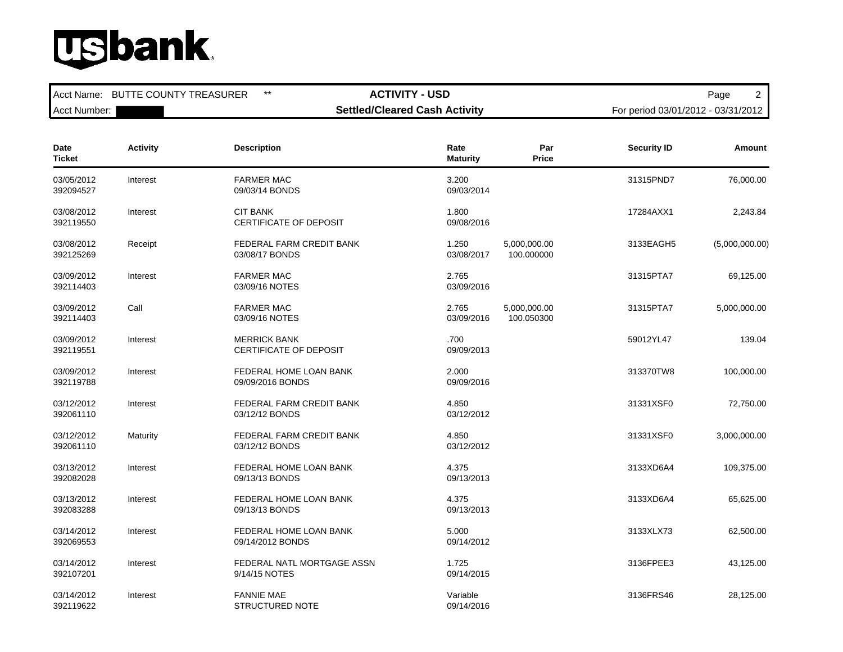Acct Name: BUTTE COUNTY TREASURER \*\* **ACTIVITY - USD ACTIVITY - ACTIVITY - ASSESS** 

Acct Number: **Number: Settled/Cleared Cash Activity** For period 03/01/2012 - 03/31/2012

| Date<br><b>Ticket</b>   | <b>Activity</b> | <b>Description</b>                                   | Rate<br><b>Maturity</b> | Par<br><b>Price</b>        | <b>Security ID</b> | Amount         |
|-------------------------|-----------------|------------------------------------------------------|-------------------------|----------------------------|--------------------|----------------|
| 03/05/2012<br>392094527 | Interest        | <b>FARMER MAC</b><br>09/03/14 BONDS                  | 3.200<br>09/03/2014     |                            | 31315PND7          | 76,000.00      |
| 03/08/2012<br>392119550 | Interest        | <b>CIT BANK</b><br>CERTIFICATE OF DEPOSIT            | 1.800<br>09/08/2016     |                            | 17284AXX1          | 2,243.84       |
| 03/08/2012<br>392125269 | Receipt         | FEDERAL FARM CREDIT BANK<br>03/08/17 BONDS           | 1.250<br>03/08/2017     | 5,000,000.00<br>100.000000 | 3133EAGH5          | (5,000,000.00) |
| 03/09/2012<br>392114403 | Interest        | <b>FARMER MAC</b><br>03/09/16 NOTES                  | 2.765<br>03/09/2016     |                            | 31315PTA7          | 69,125.00      |
| 03/09/2012<br>392114403 | Call            | <b>FARMER MAC</b><br>03/09/16 NOTES                  | 2.765<br>03/09/2016     | 5,000,000.00<br>100.050300 | 31315PTA7          | 5,000,000.00   |
| 03/09/2012<br>392119551 | Interest        | <b>MERRICK BANK</b><br><b>CERTIFICATE OF DEPOSIT</b> | .700<br>09/09/2013      |                            | 59012YL47          | 139.04         |
| 03/09/2012<br>392119788 | Interest        | FEDERAL HOME LOAN BANK<br>09/09/2016 BONDS           | 2.000<br>09/09/2016     |                            | 313370TW8          | 100,000.00     |
| 03/12/2012<br>392061110 | Interest        | FEDERAL FARM CREDIT BANK<br>03/12/12 BONDS           | 4.850<br>03/12/2012     |                            | 31331XSF0          | 72,750.00      |
| 03/12/2012<br>392061110 | Maturity        | FEDERAL FARM CREDIT BANK<br>03/12/12 BONDS           | 4.850<br>03/12/2012     |                            | 31331XSF0          | 3,000,000.00   |
| 03/13/2012<br>392082028 | Interest        | FEDERAL HOME LOAN BANK<br>09/13/13 BONDS             | 4.375<br>09/13/2013     |                            | 3133XD6A4          | 109,375.00     |
| 03/13/2012<br>392083288 | Interest        | FEDERAL HOME LOAN BANK<br>09/13/13 BONDS             | 4.375<br>09/13/2013     |                            | 3133XD6A4          | 65,625.00      |
| 03/14/2012<br>392069553 | Interest        | FEDERAL HOME LOAN BANK<br>09/14/2012 BONDS           | 5.000<br>09/14/2012     |                            | 3133XLX73          | 62,500.00      |
| 03/14/2012<br>392107201 | Interest        | FEDERAL NATL MORTGAGE ASSN<br>9/14/15 NOTES          | 1.725<br>09/14/2015     |                            | 3136FPEE3          | 43,125.00      |
| 03/14/2012<br>392119622 | Interest        | <b>FANNIE MAE</b><br><b>STRUCTURED NOTE</b>          | Variable<br>09/14/2016  |                            | 3136FRS46          | 28,125.00      |